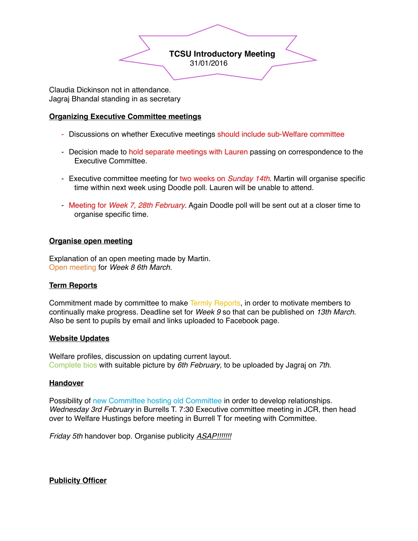

Claudia Dickinson not in attendance. Jagraj Bhandal standing in as secretary

## **Organizing Executive Committee meetings**

- Discussions on whether Executive meetings should include sub-Welfare committee
- Decision made to hold separate meetings with Lauren passing on correspondence to the Executive Committee.
- Executive committee meeting for two weeks on *Sunday 14th*. Martin will organise specific time within next week using Doodle poll. Lauren will be unable to attend.
- Meeting for *Week 7, 28th February*. Again Doodle poll will be sent out at a closer time to organise specific time.

#### **Organise open meeting**

Explanation of an open meeting made by Martin. Open meeting for *Week 8 6th March.*

# **Term Reports**

Commitment made by committee to make Termly Reports, in order to motivate members to continually make progress. Deadline set for *Week 9* so that can be published on *13th March*. Also be sent to pupils by email and links uploaded to Facebook page.

#### **Website Updates**

Welfare profiles, discussion on updating current layout. Complete bios with suitable picture by *6th February*, to be uploaded by Jagraj on *7th*.

#### **Handover**

Possibility of new Committee hosting old Committee in order to develop relationships. *Wednesday 3rd February* in Burrells T. 7:30 Executive committee meeting in JCR, then head over to Welfare Hustings before meeting in Burrell T for meeting with Committee.

*Friday 5th* handover bop. Organise publicity *ASAP!!!!!!!*

**Publicity Officer**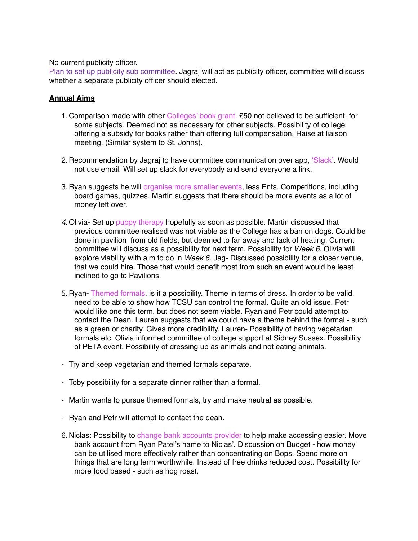No current publicity officer.

Plan to set up publicity sub committee. Jagraj will act as publicity officer, committee will discuss whether a separate publicity officer should elected.

### **Annual Aims**

- 1. Comparison made with other Colleges' book grant. £50 not believed to be sufficient, for some subjects. Deemed not as necessary for other subjects. Possibility of college offering a subsidy for books rather than offering full compensation. Raise at liaison meeting. (Similar system to St. Johns).
- 2. Recommendation by Jagraj to have committee communication over app, 'Slack'. Would not use email. Will set up slack for everybody and send everyone a link.
- 3. Ryan suggests he will organise more smaller events, less Ents. Competitions, including board games, quizzes. Martin suggests that there should be more events as a lot of money left over.
- *4.* Olivia- Set up puppy therapy hopefully as soon as possible. Martin discussed that previous committee realised was not viable as the College has a ban on dogs. Could be done in pavilion from old fields, but deemed to far away and lack of heating. Current committee will discuss as a possibility for next term. Possibility for *Week 6*. Olivia will explore viability with aim to do in *Week 6.* Jag- Discussed possibility for a closer venue, that we could hire. Those that would benefit most from such an event would be least inclined to go to Pavilions.
- 5. Ryan- Themed formals, is it a possibility. Theme in terms of dress. In order to be valid, need to be able to show how TCSU can control the formal. Quite an old issue. Petr would like one this term, but does not seem viable. Ryan and Petr could attempt to contact the Dean. Lauren suggests that we could have a theme behind the formal - such as a green or charity. Gives more credibility. Lauren- Possibility of having vegetarian formals etc. Olivia informed committee of college support at Sidney Sussex. Possibility of PETA event. Possibility of dressing up as animals and not eating animals.
- Try and keep vegetarian and themed formals separate.
- Toby possibility for a separate dinner rather than a formal.
- Martin wants to pursue themed formals, try and make neutral as possible.
- Ryan and Petr will attempt to contact the dean.
- 6. Niclas: Possibility to change bank accounts provider to help make accessing easier. Move bank account from Ryan Patel's name to Niclas'. Discussion on Budget - how money can be utilised more effectively rather than concentrating on Bops. Spend more on things that are long term worthwhile. Instead of free drinks reduced cost. Possibility for more food based - such as hog roast.